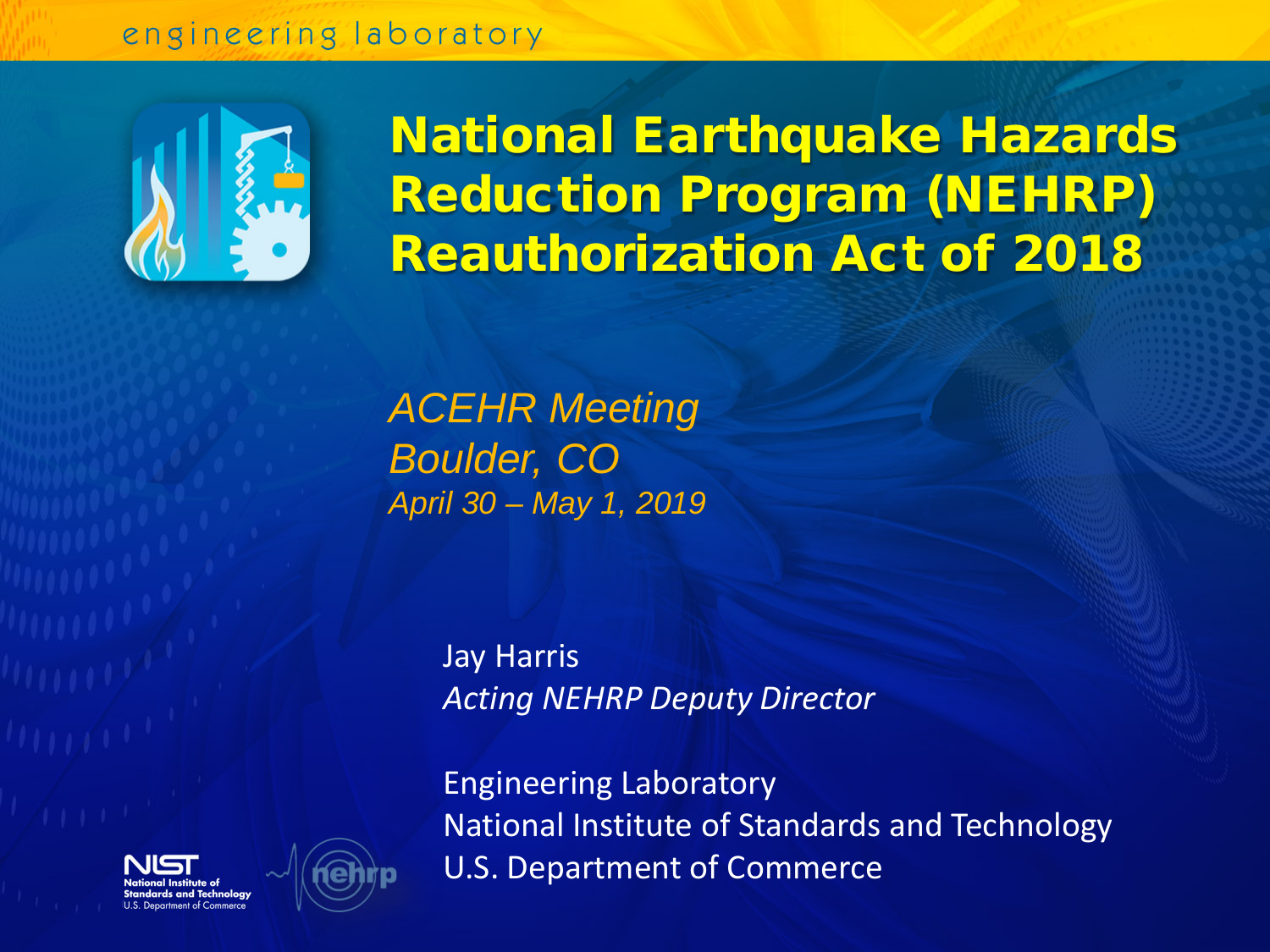#### engineering laboratory



National Earthquake Hazards Reduction Program (NEHRP) Reauthorization Act of 2018

*ACEHR Meeting Boulder, CO April 30 – May 1, 2019*

> Jay Harris *Acting NEHRP Deputy Director*

Engineering Laboratory National Institute of Standards and Technology U.S. Department of Commerce



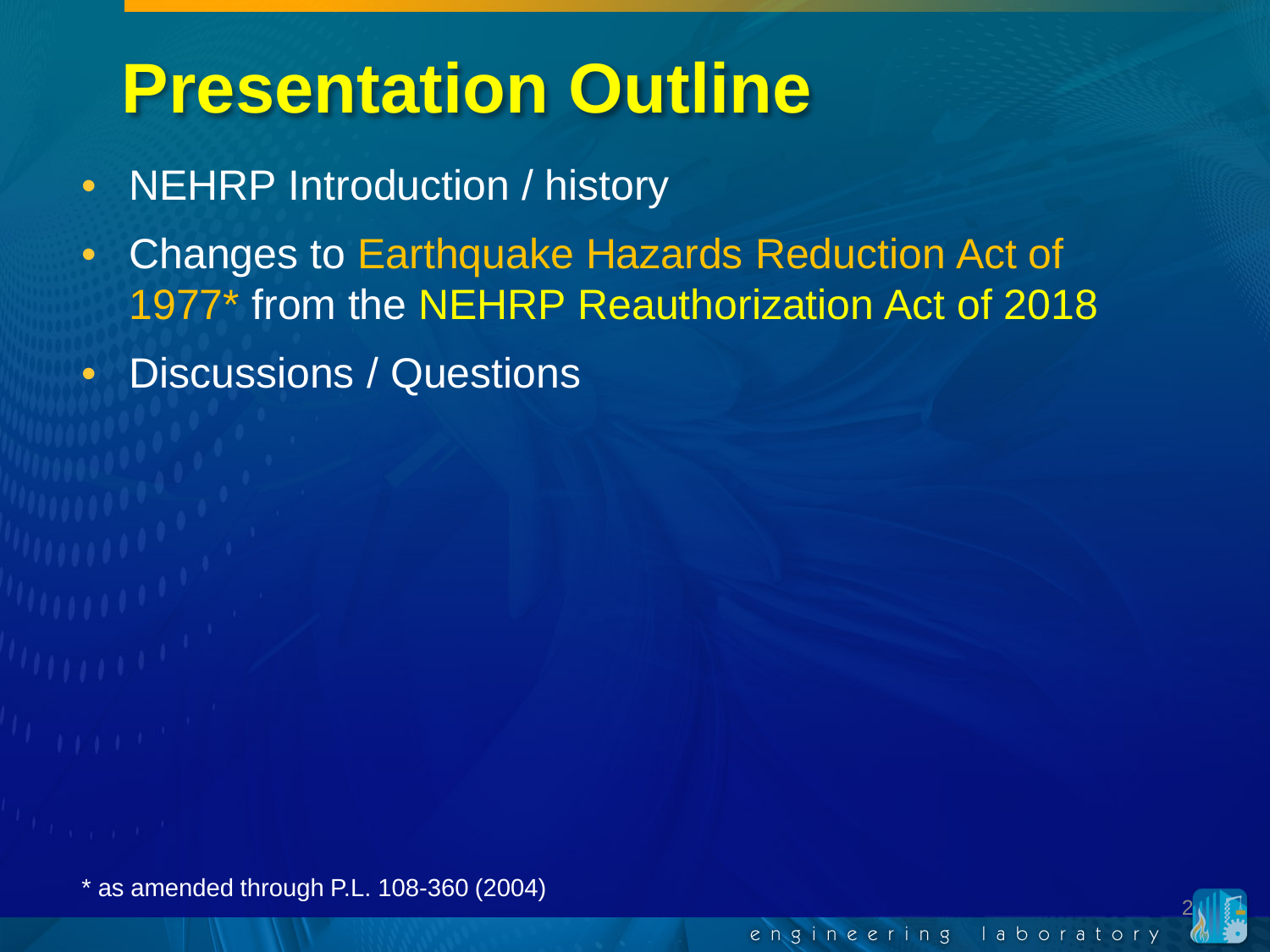# **Presentation Outline**

- NEHRP Introduction / history
- Changes to Earthquake Hazards Reduction Act of 1977\* from the NEHRP Reauthorization Act of 2018
- Discussions / Questions

\* as amended through P.L. 108-360 (2004)<br>engineering laboratory engineering laboratory

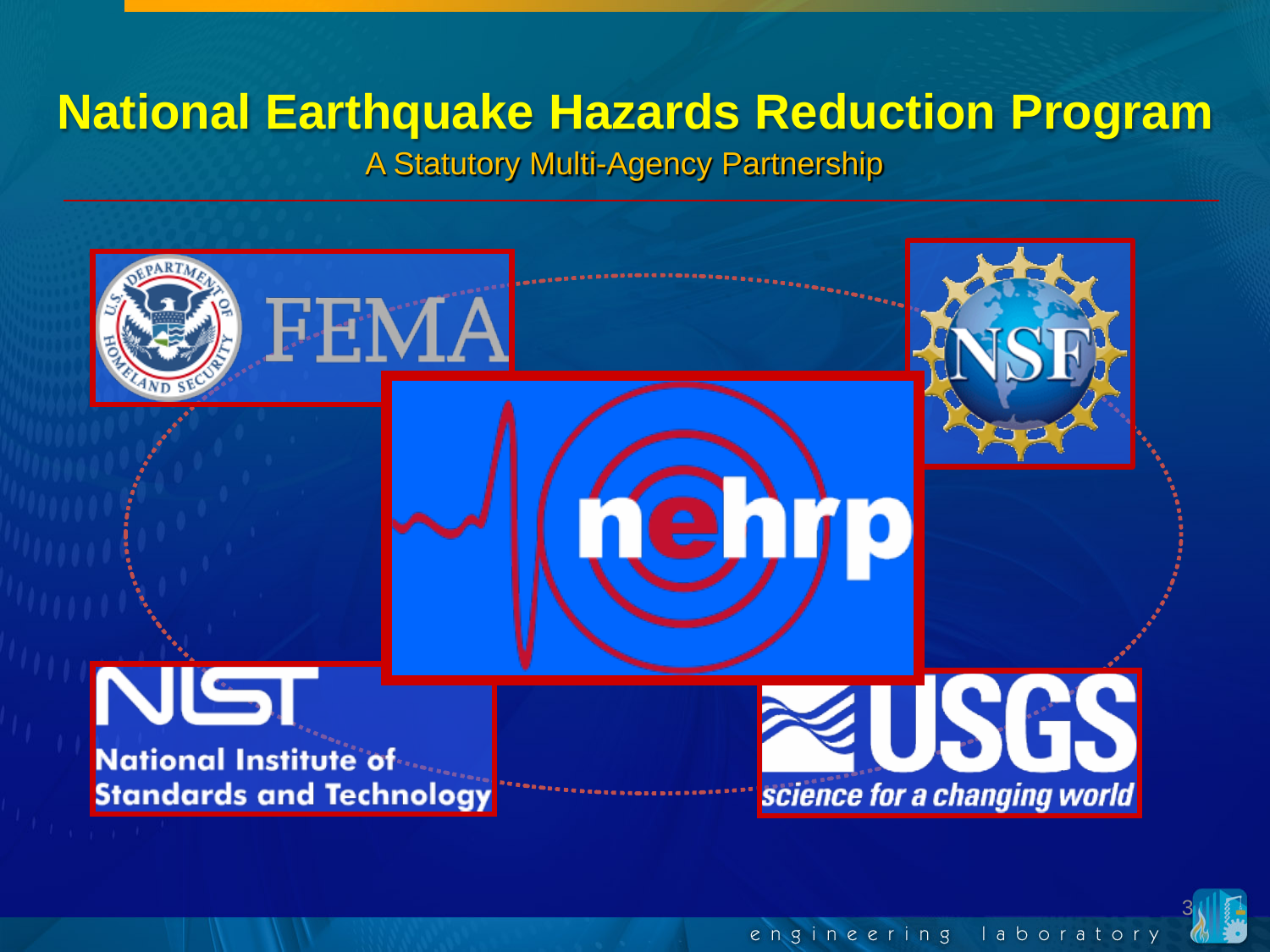#### **National Earthquake Hazards Reduction Program**

A Statutory Multi-Agency Partnership

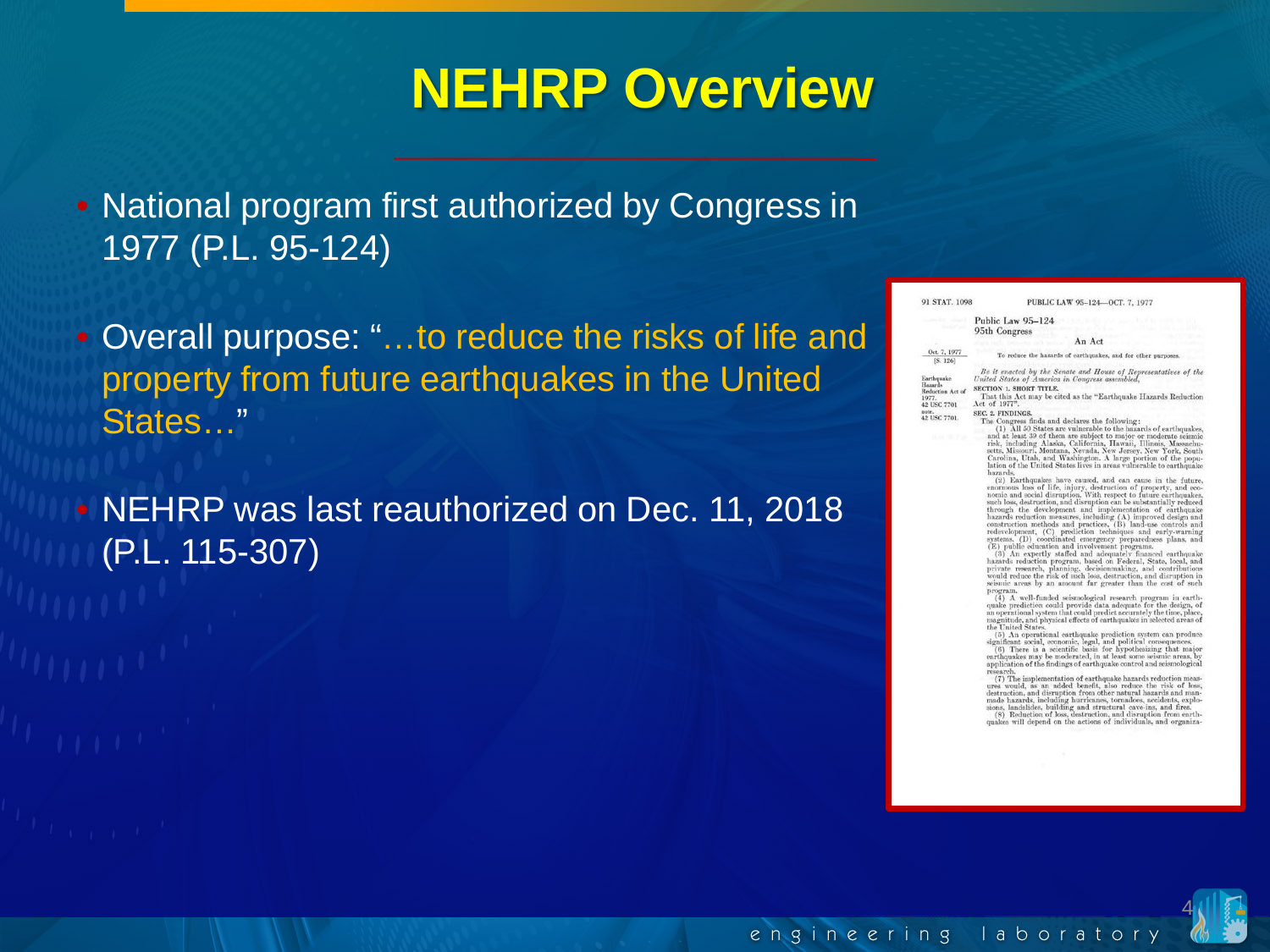#### **NEHRP Overview**

• National program first authorized by Congress in 1977 (P.L. 95-124)

• Overall purpose: "…to reduce the risks of life and property from future earthquakes in the United States…"

• NEHRP was last reauthorized on Dec. 11, 2018 (P.L. 115-307)

| Public Law 95-124<br>95th Congress<br>An Act<br>Oct. 7, 1977<br>To reduce the hazards of carthquakes, and for other purposes.<br>[S. 126]<br>Earthquake<br>United States of America in Congress assembled.<br>Hazards<br><b>SECTION 1, SHORT TITLE,</b><br>Reduction Act of<br>1977.<br>Act of 1977".<br>42 USC 7701<br>note.<br>SEC. 2. FINDINGS.<br>42 USC 7701.<br>The Congress finds and declares the following:<br>は 生きる<br>hazards.<br>(E) public education and involvement programs.<br>program.<br>the United States.<br>significant social, economic, legal, and political consequences.<br>research.<br>sions, landslides, building and structural cave-ins, and fires. | 91 STAT, 1098 | PUBLIC LAW 95-124-OCT. 7, 1977                                                                                                                                                                                                                                                                                                                                                                                                                                                                                                                                                                                                                                                                                                                                                                                                                                                                                                                                                                                                                                                                                                                                                                                                                                                                                                                                                                                                                                                                                                                                                                                                                                                                                                                                                                                                                                                                                                                                                                                                                                                                                                                                                                                                                                                                                                      |
|-----------------------------------------------------------------------------------------------------------------------------------------------------------------------------------------------------------------------------------------------------------------------------------------------------------------------------------------------------------------------------------------------------------------------------------------------------------------------------------------------------------------------------------------------------------------------------------------------------------------------------------------------------------------------------------|---------------|-------------------------------------------------------------------------------------------------------------------------------------------------------------------------------------------------------------------------------------------------------------------------------------------------------------------------------------------------------------------------------------------------------------------------------------------------------------------------------------------------------------------------------------------------------------------------------------------------------------------------------------------------------------------------------------------------------------------------------------------------------------------------------------------------------------------------------------------------------------------------------------------------------------------------------------------------------------------------------------------------------------------------------------------------------------------------------------------------------------------------------------------------------------------------------------------------------------------------------------------------------------------------------------------------------------------------------------------------------------------------------------------------------------------------------------------------------------------------------------------------------------------------------------------------------------------------------------------------------------------------------------------------------------------------------------------------------------------------------------------------------------------------------------------------------------------------------------------------------------------------------------------------------------------------------------------------------------------------------------------------------------------------------------------------------------------------------------------------------------------------------------------------------------------------------------------------------------------------------------------------------------------------------------------------------------------------------------|
|                                                                                                                                                                                                                                                                                                                                                                                                                                                                                                                                                                                                                                                                                   |               |                                                                                                                                                                                                                                                                                                                                                                                                                                                                                                                                                                                                                                                                                                                                                                                                                                                                                                                                                                                                                                                                                                                                                                                                                                                                                                                                                                                                                                                                                                                                                                                                                                                                                                                                                                                                                                                                                                                                                                                                                                                                                                                                                                                                                                                                                                                                     |
|                                                                                                                                                                                                                                                                                                                                                                                                                                                                                                                                                                                                                                                                                   |               |                                                                                                                                                                                                                                                                                                                                                                                                                                                                                                                                                                                                                                                                                                                                                                                                                                                                                                                                                                                                                                                                                                                                                                                                                                                                                                                                                                                                                                                                                                                                                                                                                                                                                                                                                                                                                                                                                                                                                                                                                                                                                                                                                                                                                                                                                                                                     |
|                                                                                                                                                                                                                                                                                                                                                                                                                                                                                                                                                                                                                                                                                   |               |                                                                                                                                                                                                                                                                                                                                                                                                                                                                                                                                                                                                                                                                                                                                                                                                                                                                                                                                                                                                                                                                                                                                                                                                                                                                                                                                                                                                                                                                                                                                                                                                                                                                                                                                                                                                                                                                                                                                                                                                                                                                                                                                                                                                                                                                                                                                     |
|                                                                                                                                                                                                                                                                                                                                                                                                                                                                                                                                                                                                                                                                                   |               | Be it enacted by the Senate and House of Representatives of the<br>That this Act may be cited as the "Earthquake Hazards Reduction                                                                                                                                                                                                                                                                                                                                                                                                                                                                                                                                                                                                                                                                                                                                                                                                                                                                                                                                                                                                                                                                                                                                                                                                                                                                                                                                                                                                                                                                                                                                                                                                                                                                                                                                                                                                                                                                                                                                                                                                                                                                                                                                                                                                  |
|                                                                                                                                                                                                                                                                                                                                                                                                                                                                                                                                                                                                                                                                                   |               | (1) All 50 States are vulnerable to the hazards of earthquakes,<br>and at least 39 of them are subject to major or moderate seasmic<br>risk, including Alaska, California, Hawaii, Illinois, Massachu-<br>setts, Missouri, Montana, Nevada, New Jersey, New York, South<br>Carolina, Utah, and Washington. A large portion of the popu-<br>lation of the United States lives in areas vulnerable to earthquake<br>(2) Earthquakes have caused, and can cause in the future.<br>enormous loss of life, injury, destruction of property, and eco-<br>nomic and social disruption. With respect to future earthquaker,<br>such loss, destruction, and disruption can be substantially reduced<br>through the development and implementation of earthquake<br>hazards reduction measures, including (A) improved design and<br>construction methods and practices, (B) land-use controls and<br>redevelopment, (C) prediction techniques and early-warning<br>systems. (D) coordinated emergency preparedness plans, and<br>(3) An expertly staffed and adequately financed earthquake<br>hazards reduction program, based on Federal, State, local, and<br>private research, planning, decisionmaking, and contributions<br>would reduce the risk of such loss, destruction, and disruption in<br>seismic areas by an amount far greater than the cost of such<br>(4) A well-funded seismological research program in earth-<br>quake prediction could provide data adequate for the design, of<br>an operational system that could predict accurately the time, place,<br>magnitude, and physical effects of carthquakes in selected areas of<br>(5) An operational earthquake prediction system can produce<br>(6) There is a scientific basis for hypothesizing that major<br>earthquakes may be moderated, in at least some seismic areas, by<br>application of the findings of earthquake control and seismological<br>(7) The implementation of earthquake hazards reduction meas-<br>ures would, as an added benefit, also reduce the risk of loss,<br>destruction, and disruption from other natural hazards and man-<br>made hazards, including hurricanes, tornadoes, accidents, explo-<br>(8) Reduction of loss, destruction, and disruption from earth-<br>quakes will depend on the actions of individuals, and organiza- |
|                                                                                                                                                                                                                                                                                                                                                                                                                                                                                                                                                                                                                                                                                   |               |                                                                                                                                                                                                                                                                                                                                                                                                                                                                                                                                                                                                                                                                                                                                                                                                                                                                                                                                                                                                                                                                                                                                                                                                                                                                                                                                                                                                                                                                                                                                                                                                                                                                                                                                                                                                                                                                                                                                                                                                                                                                                                                                                                                                                                                                                                                                     |
|                                                                                                                                                                                                                                                                                                                                                                                                                                                                                                                                                                                                                                                                                   |               |                                                                                                                                                                                                                                                                                                                                                                                                                                                                                                                                                                                                                                                                                                                                                                                                                                                                                                                                                                                                                                                                                                                                                                                                                                                                                                                                                                                                                                                                                                                                                                                                                                                                                                                                                                                                                                                                                                                                                                                                                                                                                                                                                                                                                                                                                                                                     |
|                                                                                                                                                                                                                                                                                                                                                                                                                                                                                                                                                                                                                                                                                   |               |                                                                                                                                                                                                                                                                                                                                                                                                                                                                                                                                                                                                                                                                                                                                                                                                                                                                                                                                                                                                                                                                                                                                                                                                                                                                                                                                                                                                                                                                                                                                                                                                                                                                                                                                                                                                                                                                                                                                                                                                                                                                                                                                                                                                                                                                                                                                     |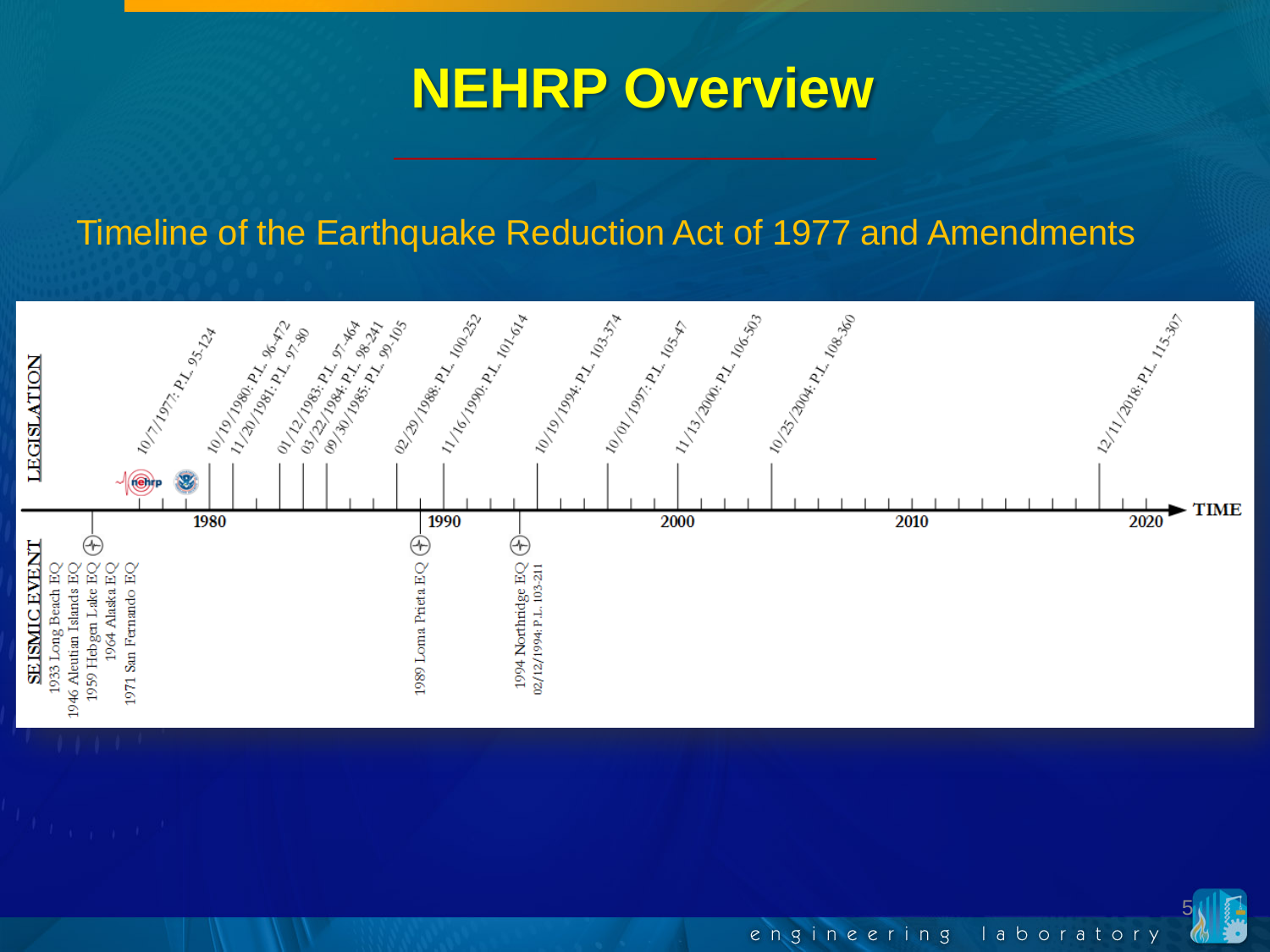#### **NEHRP Overview**

#### Timeline of the Earthquake Reduction Act of 1977 and Amendments



5 engineering laboratory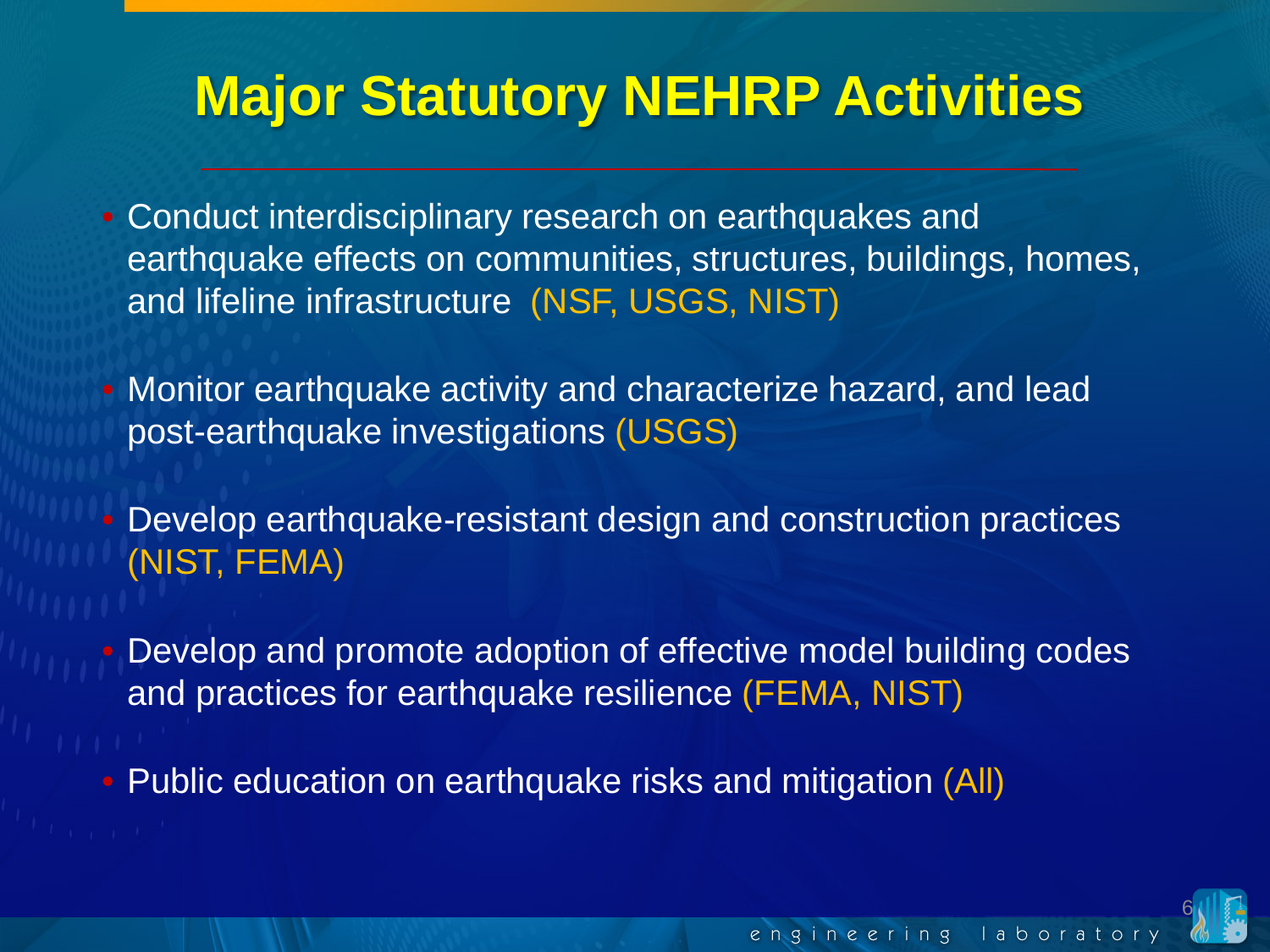#### **Major Statutory NEHRP Activities**

• Conduct interdisciplinary research on earthquakes and earthquake effects on communities, structures, buildings, homes, and lifeline infrastructure (NSF, USGS, NIST)

• Monitor earthquake activity and characterize hazard, and lead post-earthquake investigations (USGS)

• Develop earthquake-resistant design and construction practices (NIST, FEMA)

• Develop and promote adoption of effective model building codes and practices for earthquake resilience (FEMA, NIST)

• Public education on earthquake risks and mitigation (All)

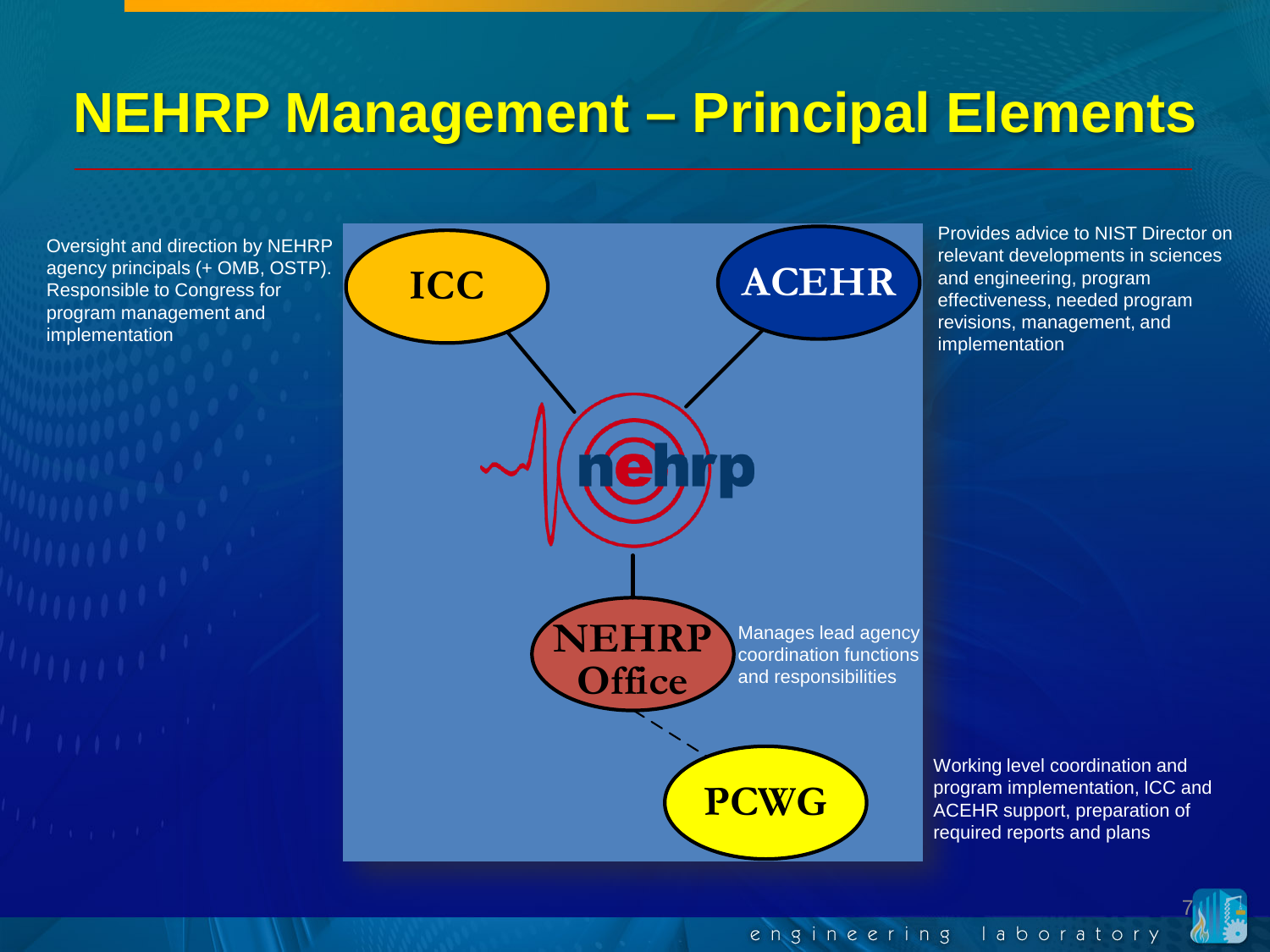#### **NEHRP Management – Principal Elements**

Oversight and direction by NEHRP agency principals (+ OMB, OSTP). Responsible to Congress for program management and implementation



Provides advice to NIST Director on relevant developments in sciences and engineering, program effectiveness, needed program revisions, management, and implementation

Working level coordination and program implementation, ICC and ACEHR support, preparation of required reports and plans

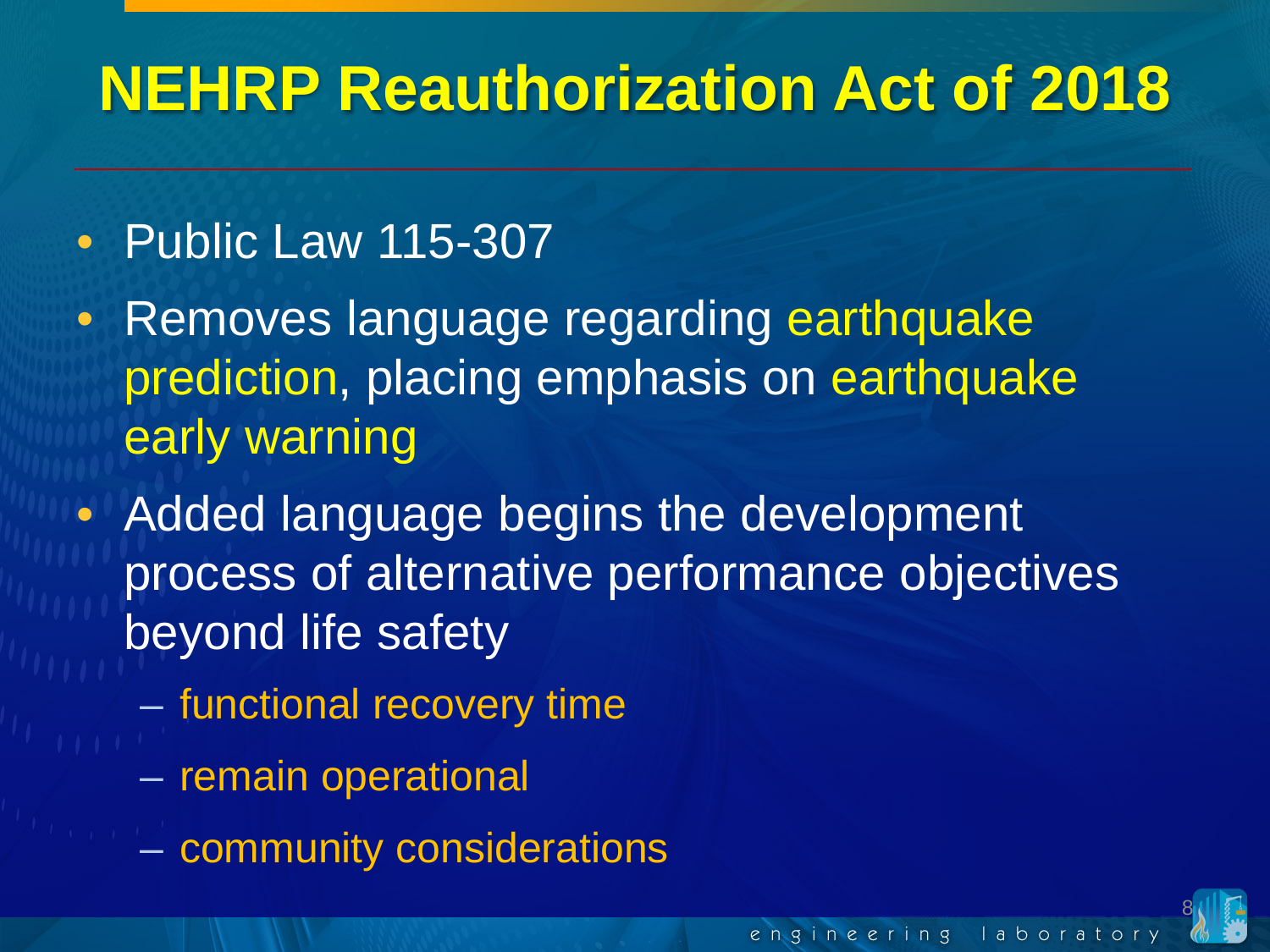#### • Public Law 115-307

- Removes language regarding earthquake prediction, placing emphasis on earthquake early warning
- Added language begins the development process of alternative performance objectives beyond life safety
	- functional recovery time
	- remain operational
	- community considerations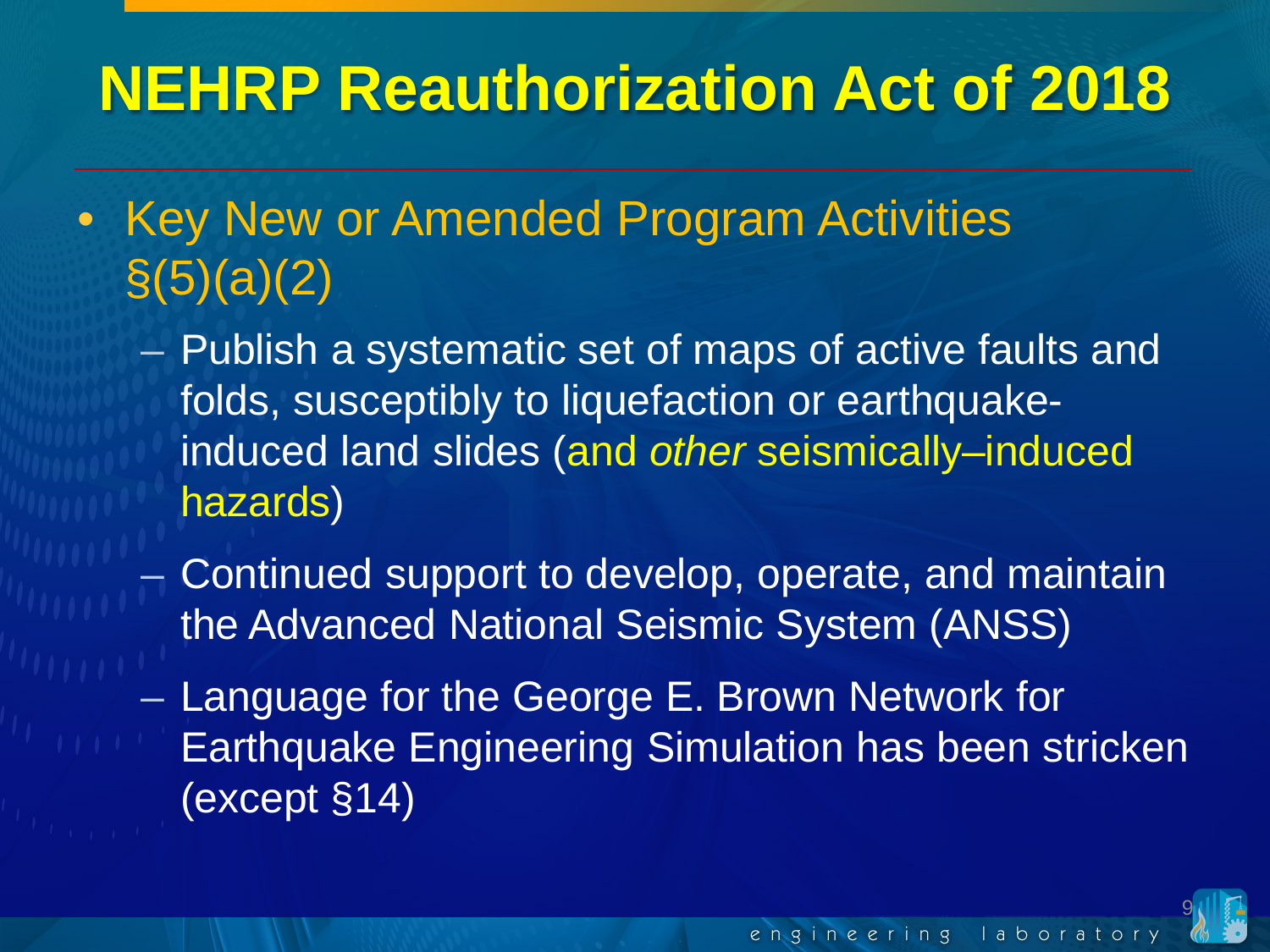- Key New or Amended Program Activities  $\S(5)(a)(2)$ 
	- Publish a systematic set of maps of active faults and folds, susceptibly to liquefaction or earthquakeinduced land slides (and *other* seismically–induced hazards)
		- Continued support to develop, operate, and maintain the Advanced National Seismic System (ANSS)
	- Language for the George E. Brown Network for Earthquake Engineering Simulation has been stricken (except §14)

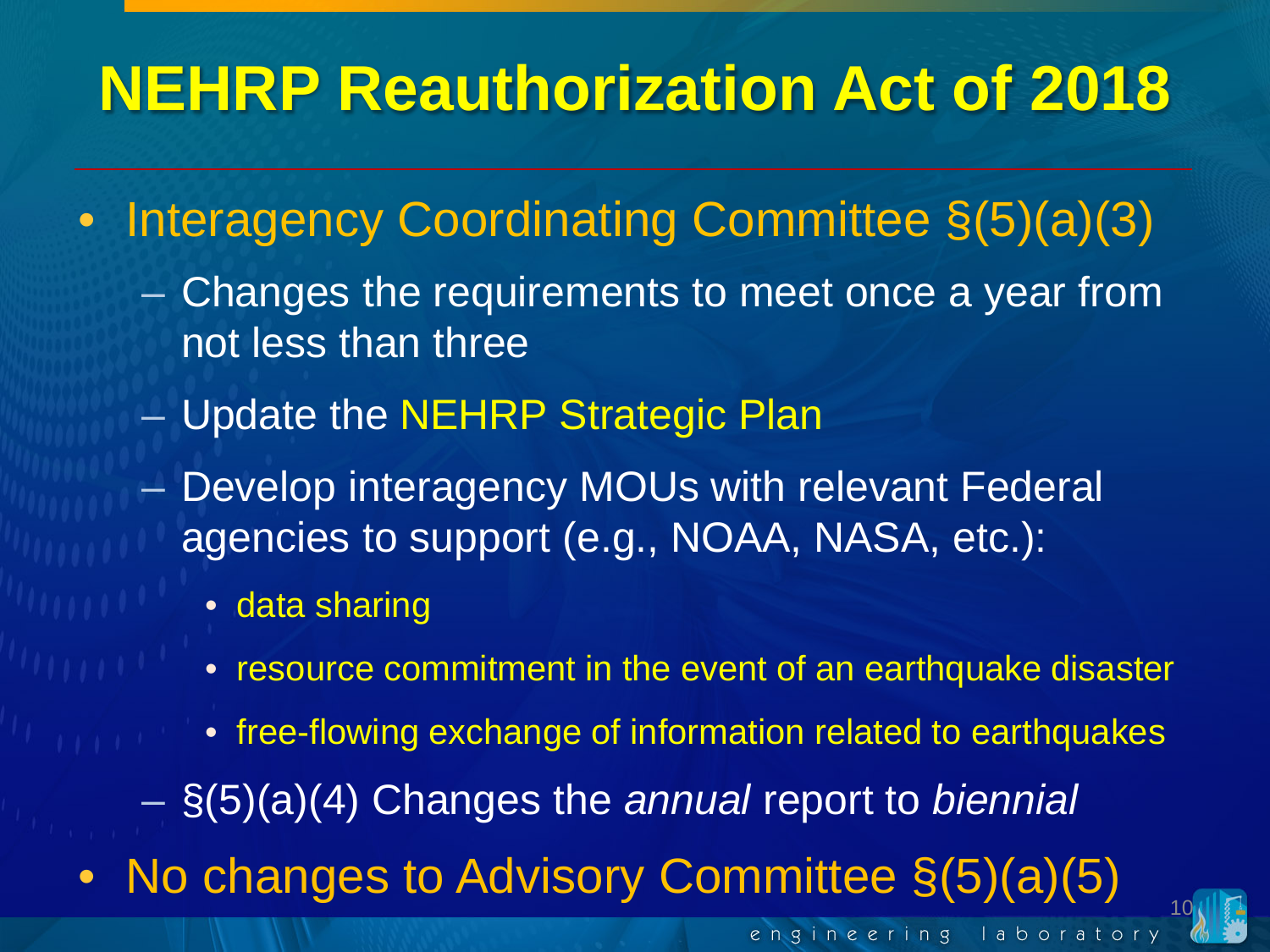- Interagency Coordinating Committee  $\S(5)(a)(3)$ 
	- Changes the requirements to meet once a year from not less than three
	- Update the NEHRP Strategic Plan
	- Develop interagency MOUs with relevant Federal agencies to support (e.g., NOAA, NASA, etc.):
		- data sharing
		- resource commitment in the event of an earthquake disaster
		- free-flowing exchange of information related to earthquakes

10

engineering laborator

- §(5)(a)(4) Changes the *annual* report to *biennial*
- No changes to Advisory Committee  $\S(5)(a)(5)$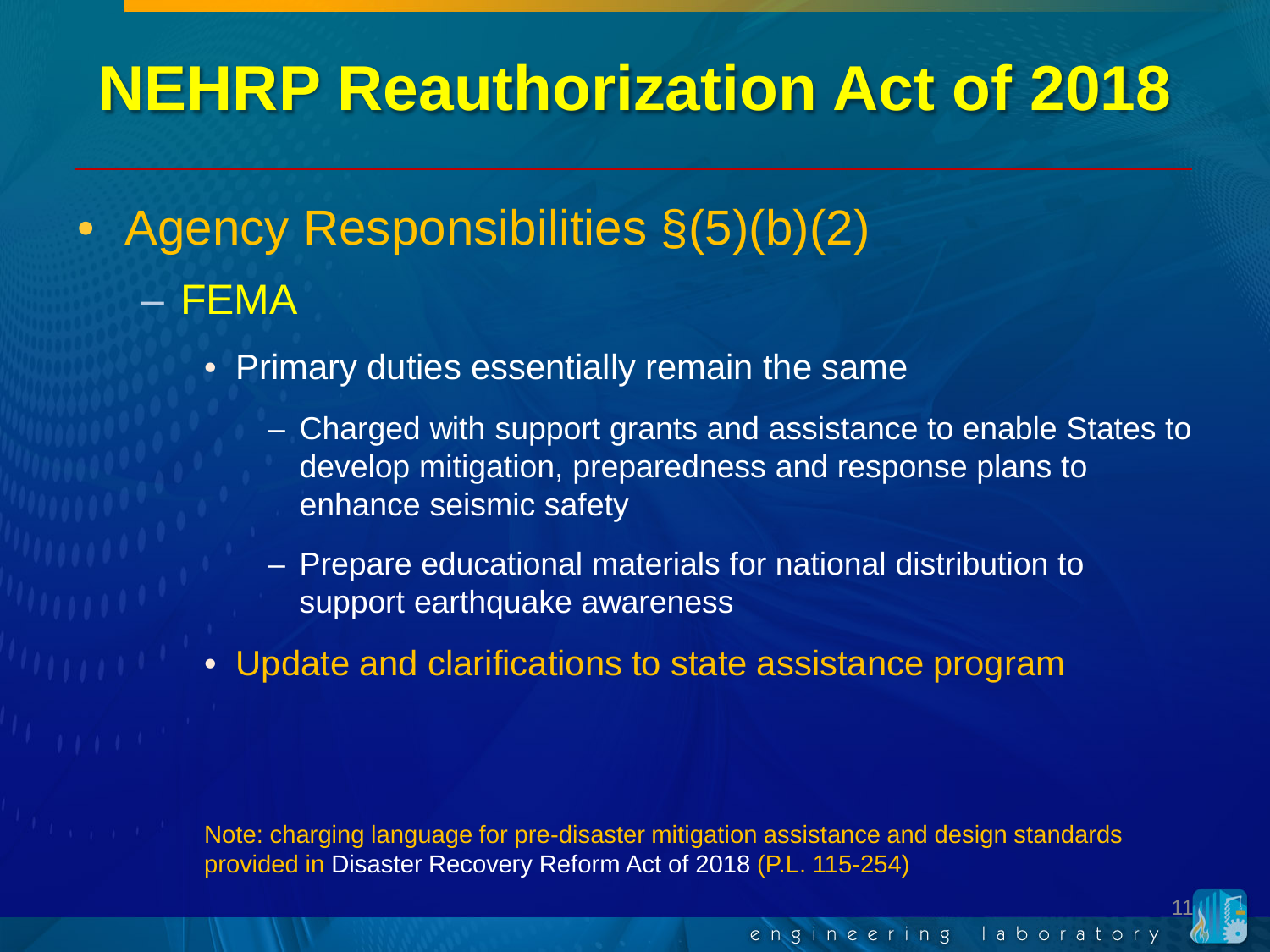- Agency Responsibilities §(5)(b)(2) – FEMA
	- Primary duties essentially remain the same
		- Charged with support grants and assistance to enable States to develop mitigation, preparedness and response plans to enhance seismic safety
		- Prepare educational materials for national distribution to support earthquake awareness
	- Update and clarifications to state assistance program

Note: charging language for pre-disaster mitigation assistance and design standards provided in Disaster Recovery Reform Act of 2018 (P.L. 115-254)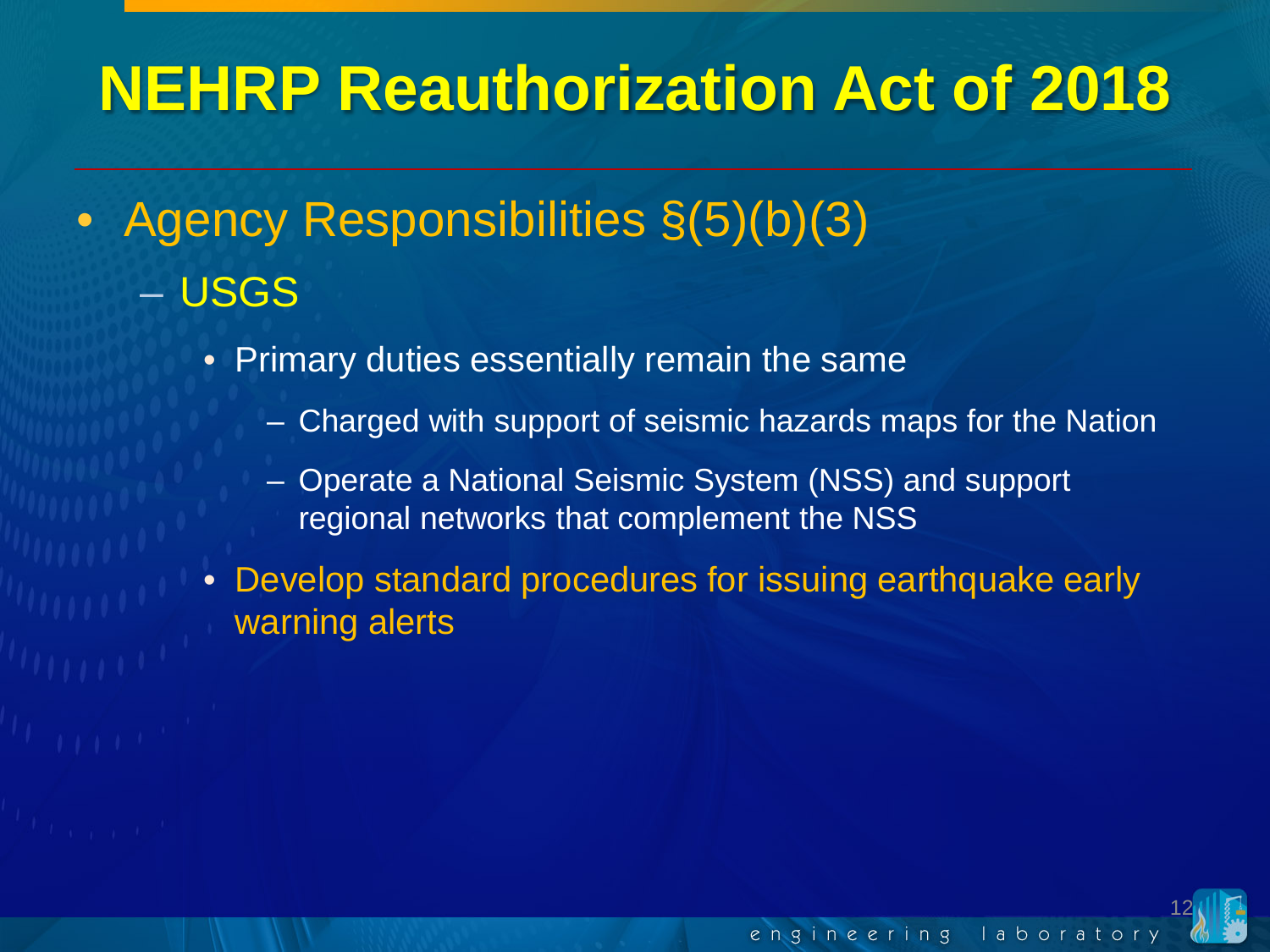- Agency Responsibilities  $\S(5)(b)(3)$ – USGS
	- Primary duties essentially remain the same
		- Charged with support of seismic hazards maps for the Nation
		- Operate a National Seismic System (NSS) and support regional networks that complement the NSS
	- Develop standard procedures for issuing earthquake early warning alerts

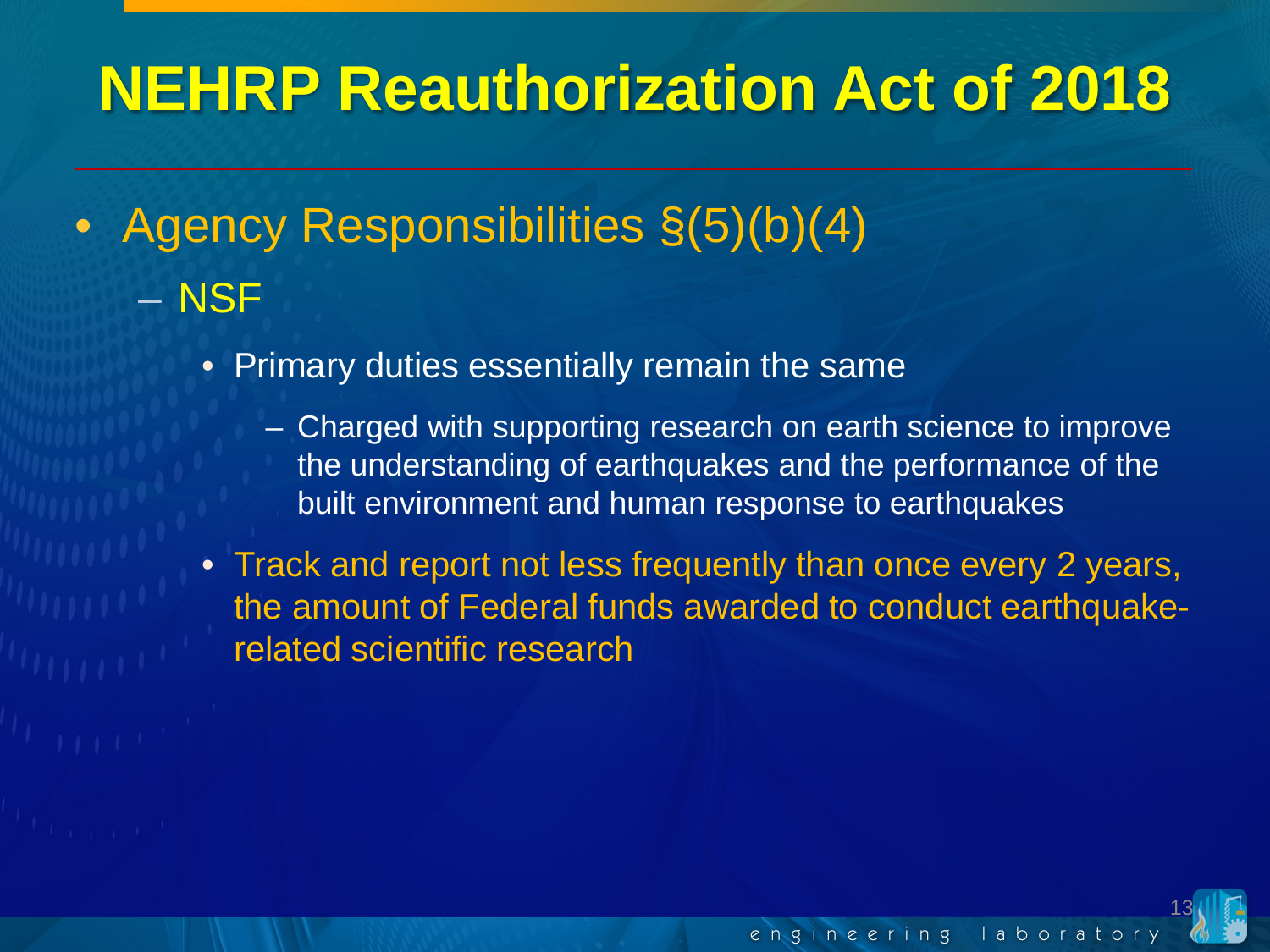- Agency Responsibilities  $\S(5)(b)(4)$ – NSF
	- Primary duties essentially remain the same
		- Charged with supporting research on earth science to improve the understanding of earthquakes and the performance of the built environment and human response to earthquakes
	- Track and report not less frequently than once every 2 years, the amount of Federal funds awarded to conduct earthquakerelated scientific research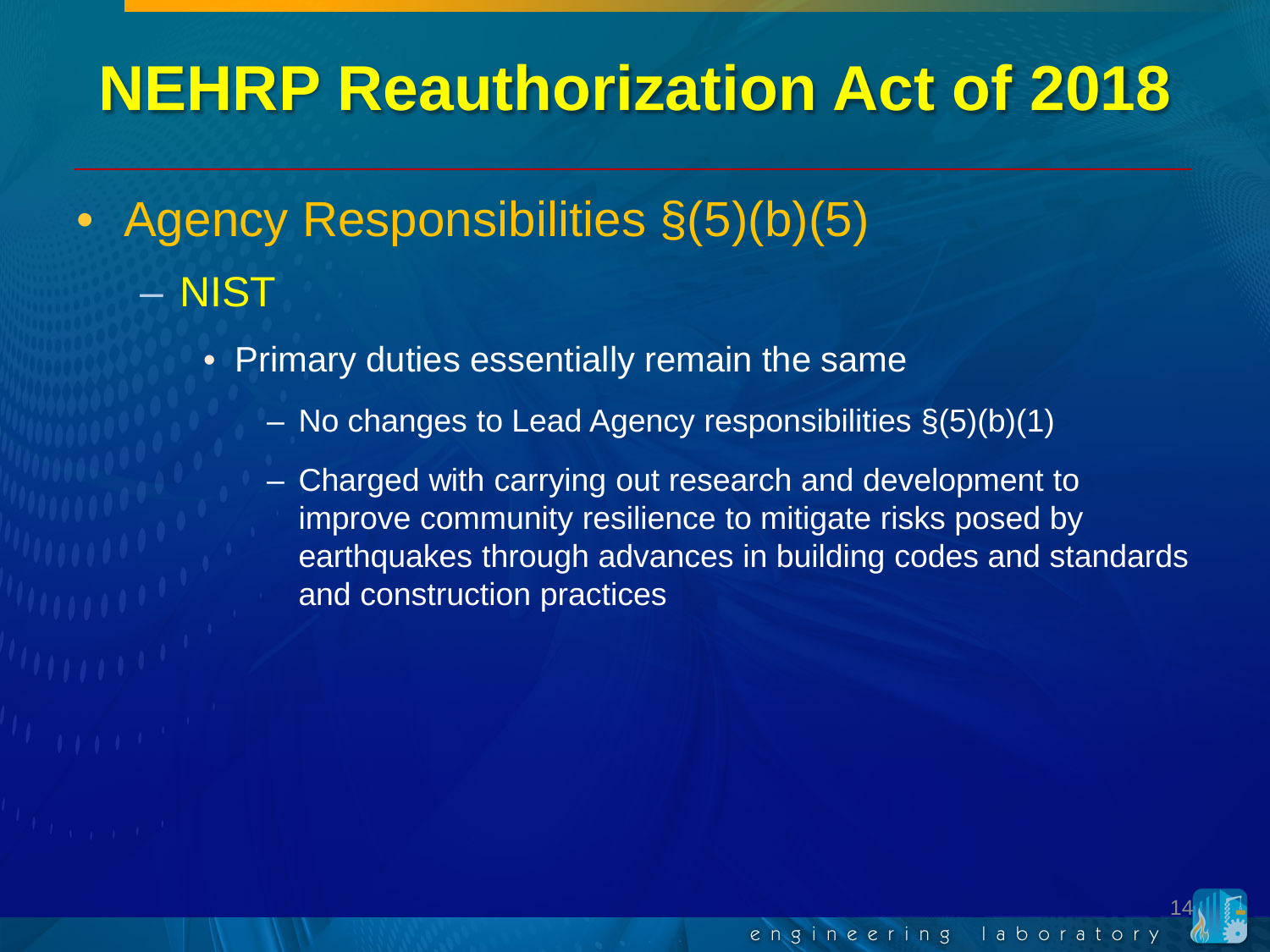- Agency Responsibilities §(5)(b)(5) – NIST
	- Primary duties essentially remain the same
		- No changes to Lead Agency responsibilities §(5)(b)(1)
		- Charged with carrying out research and development to improve community resilience to mitigate risks posed by earthquakes through advances in building codes and standards and construction practices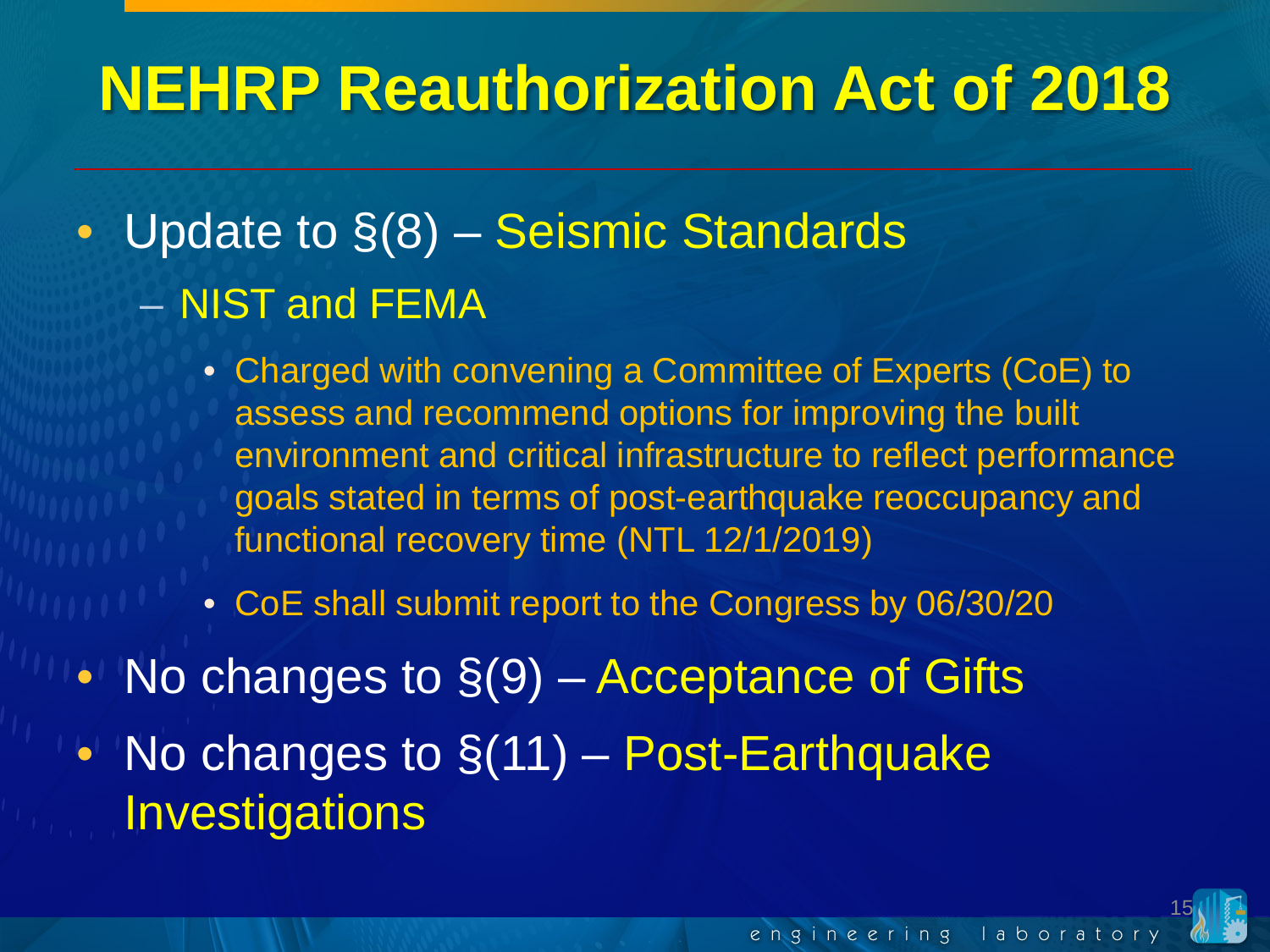- Update to  $\S(8)$  Seismic Standards – NIST and FEMA
	- Charged with convening a Committee of Experts (CoE) to assess and recommend options for improving the built environment and critical infrastructure to reflect performance goals stated in terms of post-earthquake reoccupancy and functional recovery time (NTL 12/1/2019)
	- CoE shall submit report to the Congress by 06/30/20
- No changes to  $\S(9)$  Acceptance of Gifts • No changes to  $\S(11)$  – Post-Earthquake **Investigations**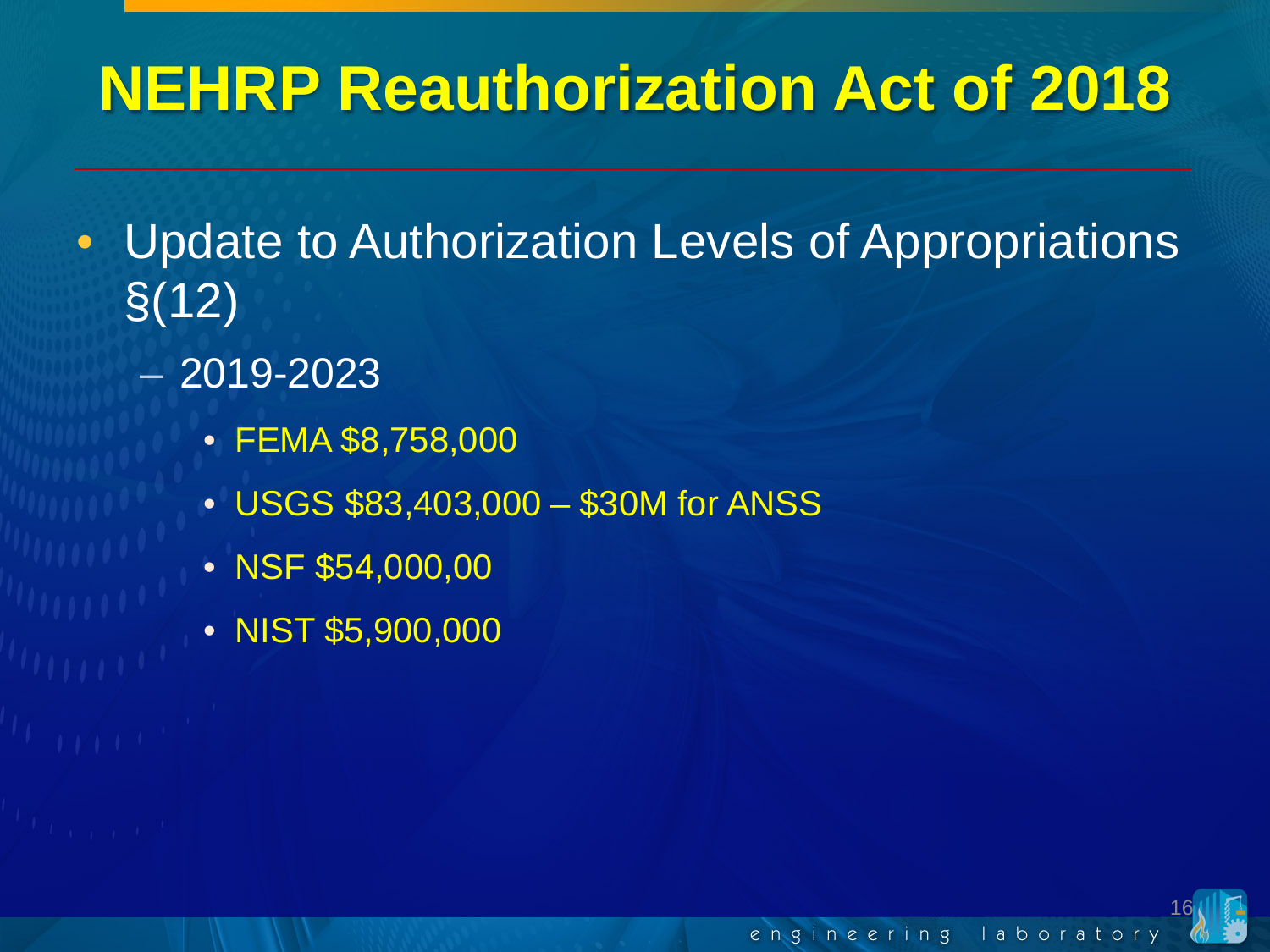- Update to Authorization Levels of Appropriations §(12)
	- 2019-2023
		- FEMA \$8,758,000
		- USGS \$83,403,000 \$30M for ANSS
		- NSF \$54,000,00
		- NIST \$5,900,000

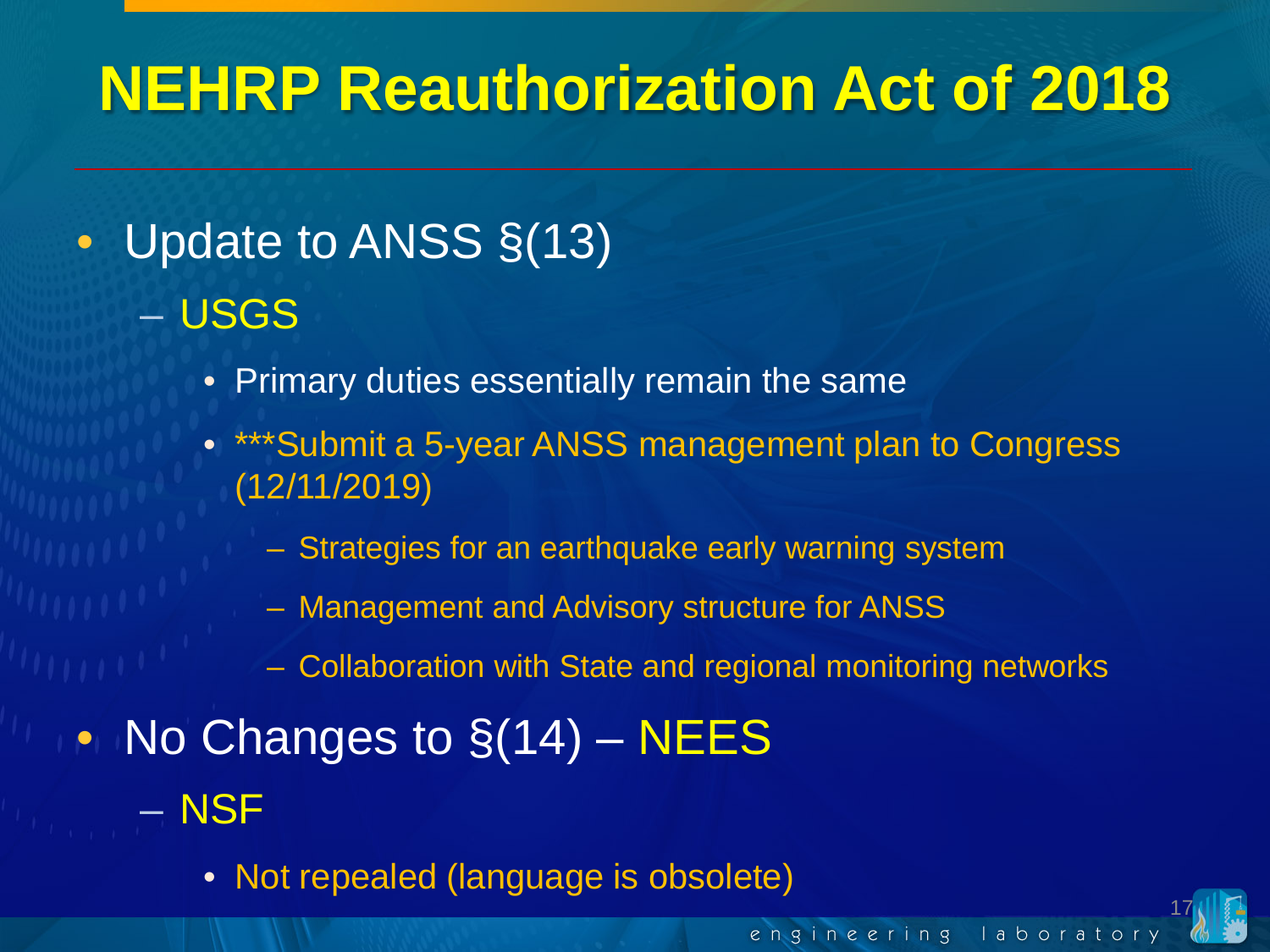#### • Update to ANSS §(13) – USGS

- Primary duties essentially remain the same
- \*\*\*Submit a 5-year ANSS management plan to Congress (12/11/2019)
	- Strategies for an earthquake early warning system
	- Management and Advisory structure for ANSS
	- Collaboration with State and regional monitoring networks
- No Changes to  $\S(14)$  NEES
	- NSF
		- Not repealed (language is obsolete)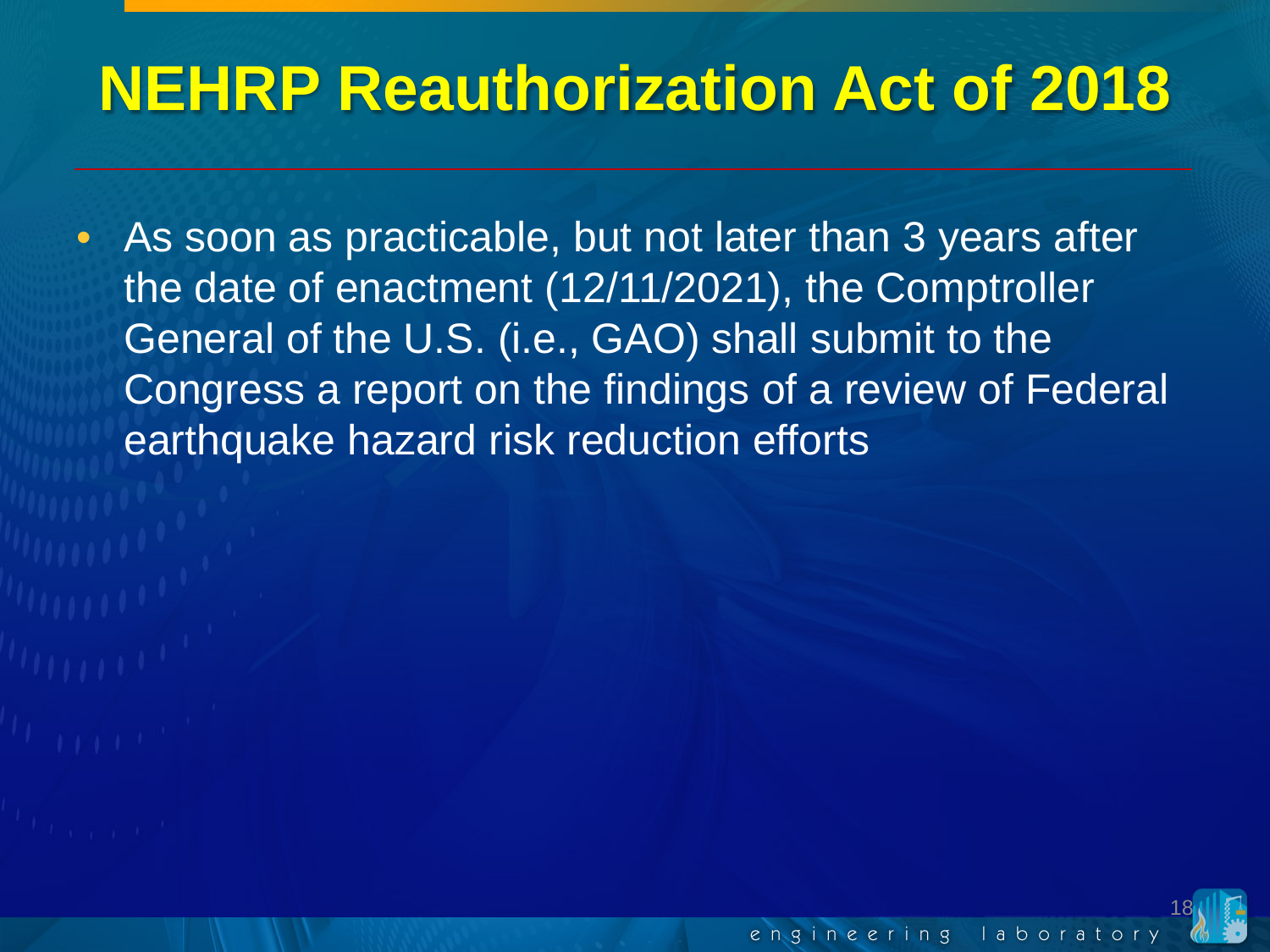• As soon as practicable, but not later than 3 years after the date of enactment (12/11/2021), the Comptroller General of the U.S. (i.e., GAO) shall submit to the Congress a report on the findings of a review of Federal earthquake hazard risk reduction efforts